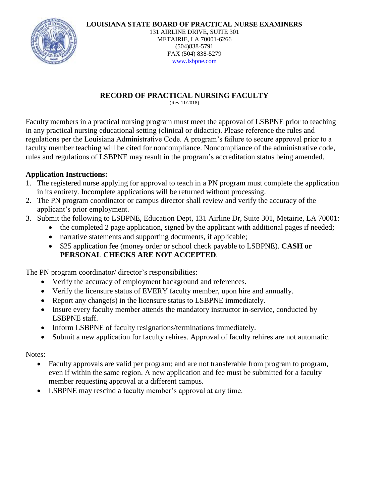**LOUISIANA STATE BOARD OF PRACTICAL NURSE EXAMINERS**



131 AIRLINE DRIVE, SUITE 301 METAIRIE, LA 70001-6266 (504)838-5791 FAX (504) 838-5279 [www.lsbpne.com](http://www.lsbpne.com/)

# **RECORD OF PRACTICAL NURSING FACULTY**

(Rev 11/2018)

Faculty members in a practical nursing program must meet the approval of LSBPNE prior to teaching in any practical nursing educational setting (clinical or didactic). Please reference the rules and regulations per the Louisiana Administrative Code. A program's failure to secure approval prior to a faculty member teaching will be cited for noncompliance. Noncompliance of the administrative code, rules and regulations of LSBPNE may result in the program's accreditation status being amended.

## **Application Instructions:**

- 1. The registered nurse applying for approval to teach in a PN program must complete the application in its entirety. Incomplete applications will be returned without processing.
- 2. The PN program coordinator or campus director shall review and verify the accuracy of the applicant's prior employment.
- 3. Submit the following to LSBPNE, Education Dept, 131 Airline Dr, Suite 301, Metairie, LA 70001:
	- the completed 2 page application, signed by the applicant with additional pages if needed;
	- narrative statements and supporting documents, if applicable;
	- \$25 application fee (money order or school check payable to LSBPNE). **CASH or PERSONAL CHECKS ARE NOT ACCEPTED**.

The PN program coordinator/ director's responsibilities:

- Verify the accuracy of employment background and references.
- Verify the licensure status of EVERY faculty member, upon hire and annually.
- Report any change(s) in the licensure status to LSBPNE immediately.
- Insure every faculty member attends the mandatory instructor in-service, conducted by LSBPNE staff.
- Inform LSBPNE of faculty resignations/terminations immediately.
- Submit a new application for faculty rehires. Approval of faculty rehires are not automatic.

## Notes:

- Faculty approvals are valid per program; and are not transferable from program to program, even if within the same region. A new application and fee must be submitted for a faculty member requesting approval at a different campus.
- LSBPNE may rescind a faculty member's approval at any time.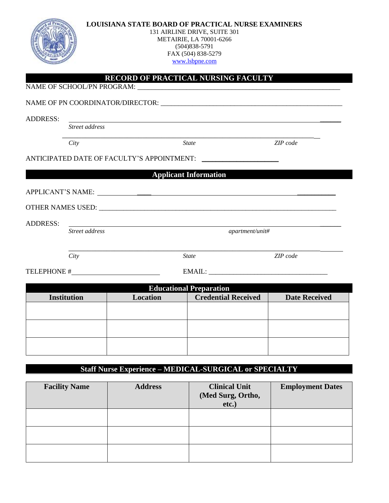|                 |                    | <b>LOUISIANA STATE BOARD OF PRACTICAL NURSE EXAMINERS</b><br>131 AIRLINE DRIVE, SUITE 301<br>METAIRIE, LA 70001-6266<br>FAX (504) 838-5279<br>www.lsbpne.com |                                                                                                                                                                                                                                |                      |  |
|-----------------|--------------------|--------------------------------------------------------------------------------------------------------------------------------------------------------------|--------------------------------------------------------------------------------------------------------------------------------------------------------------------------------------------------------------------------------|----------------------|--|
|                 |                    |                                                                                                                                                              | RECORD OF PRACTICAL NURSING FACULTY                                                                                                                                                                                            |                      |  |
|                 |                    |                                                                                                                                                              |                                                                                                                                                                                                                                |                      |  |
| <b>ADDRESS:</b> | Street address     |                                                                                                                                                              |                                                                                                                                                                                                                                |                      |  |
|                 | City               |                                                                                                                                                              | <i>State</i>                                                                                                                                                                                                                   | ZIP code             |  |
|                 |                    |                                                                                                                                                              | ANTICIPATED DATE OF FACULTY'S APPOINTMENT:                                                                                                                                                                                     |                      |  |
|                 |                    |                                                                                                                                                              | <b>Applicant Information</b>                                                                                                                                                                                                   |                      |  |
|                 |                    |                                                                                                                                                              |                                                                                                                                                                                                                                |                      |  |
|                 |                    |                                                                                                                                                              |                                                                                                                                                                                                                                |                      |  |
| <b>ADDRESS:</b> | Street address     | <u> 1989 - Johann John Stone, markin film yn y brening yn y brening yn y brening yn y brening y brening yn y bre</u>                                         | apartment/unit#                                                                                                                                                                                                                |                      |  |
|                 | City               |                                                                                                                                                              | <b>State</b>                                                                                                                                                                                                                   | ZIP code             |  |
|                 |                    | TELEPHONE #                                                                                                                                                  | EMAIL: University of the contract of the contract of the contract of the contract of the contract of the contract of the contract of the contract of the contract of the contract of the contract of the contract of the contr |                      |  |
|                 |                    |                                                                                                                                                              | <b>Educational Preparation</b>                                                                                                                                                                                                 |                      |  |
|                 | <b>Institution</b> | Location                                                                                                                                                     | <b>Credential Received</b>                                                                                                                                                                                                     | <b>Date Received</b> |  |
|                 |                    |                                                                                                                                                              |                                                                                                                                                                                                                                |                      |  |
|                 |                    |                                                                                                                                                              |                                                                                                                                                                                                                                |                      |  |
|                 |                    |                                                                                                                                                              |                                                                                                                                                                                                                                |                      |  |
|                 |                    |                                                                                                                                                              | <b>Staff Nurse Experience - MEDICAL-SURGICAL or SPECIALTY</b>                                                                                                                                                                  |                      |  |
|                 |                    |                                                                                                                                                              |                                                                                                                                                                                                                                |                      |  |

| <b>Facility Name</b> | <b>Address</b> | <b>Clinical Unit</b><br>(Med Surg, Ortho,<br>etc.) | <b>Employment Dates</b> |
|----------------------|----------------|----------------------------------------------------|-------------------------|
|                      |                |                                                    |                         |
|                      |                |                                                    |                         |
|                      |                |                                                    |                         |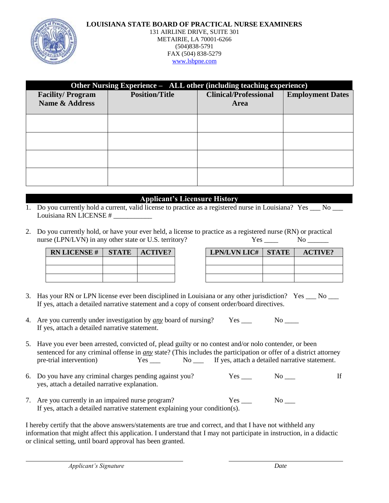### **LOUISIANA STATE BOARD OF PRACTICAL NURSE EXAMINERS**



### 131 AIRLINE DRIVE, SUITE 301 METAIRIE, LA 70001-6266 (504)838-5791 FAX (504) 838-5279 [www.lsbpne.com](http://www.lsbpne.com/)

| Other Nursing Experience – ALL other (including teaching experience) |                       |                              |                         |  |
|----------------------------------------------------------------------|-----------------------|------------------------------|-------------------------|--|
| <b>Facility/Program</b>                                              | <b>Position/Title</b> | <b>Clinical/Professional</b> | <b>Employment Dates</b> |  |
| Name & Address                                                       |                       | Area                         |                         |  |
|                                                                      |                       |                              |                         |  |
|                                                                      |                       |                              |                         |  |
|                                                                      |                       |                              |                         |  |
|                                                                      |                       |                              |                         |  |
|                                                                      |                       |                              |                         |  |
|                                                                      |                       |                              |                         |  |
|                                                                      |                       |                              |                         |  |
|                                                                      |                       |                              |                         |  |
|                                                                      |                       |                              |                         |  |

## **Applicant's Licensure History**

- 1. Do you currently hold a current, valid license to practice as a registered nurse in Louisiana? Yes No Let Louisiana RN LICENSE # \_\_\_\_\_\_\_\_\_\_\_
- 2. Do you currently hold, or have your ever held, a license to practice as a registered nurse (RN) or practical nurse (LPN/LVN) in any other state or U.S. territory? Yes \_\_\_\_ No \_\_\_\_\_

| <b>RN LICENSE#</b> | <b>STATE</b> | <b>ACTIVE?</b> |
|--------------------|--------------|----------------|
|                    |              |                |
|                    |              |                |
|                    |              |                |

| <b>RN LICENSE #   STATE   ACTIVE?</b> |  | <b>LPN/LVN LIC#   STATE</b> | <b>ACTIVE?</b> |  |
|---------------------------------------|--|-----------------------------|----------------|--|
|                                       |  |                             |                |  |
|                                       |  |                             |                |  |
|                                       |  |                             |                |  |

- 3. Has your RN or LPN license ever been disciplined in Louisiana or any other jurisdiction? Yes \_\_\_ No \_\_\_ If yes, attach a detailed narrative statement and a copy of consent order/board directives.
- 4. Are you currently under investigation by *any* board of nursing? Yes \_\_\_ No \_\_\_\_ If yes, attach a detailed narrative statement.
- 5. Have you ever been arrested, convicted of, plead guilty or no contest and/or nolo contender, or been sentenced for any criminal offense in *any* state? (This includes the participation or offer of a district attorney pre-trial intervention) Yes \_\_\_ No \_\_ If yes, attach a detailed narrative statement.
- 6. Do you have any criminal charges pending against you? Yes \_\_\_ No \_\_\_ If yes, attach a detailed narrative explanation.
- 7. Are you currently in an impaired nurse program? Yes No  $\overline{X}$ If yes, attach a detailed narrative statement explaining your condition(s).

I hereby certify that the above answers/statements are true and correct, and that I have not withheld any information that might affect this application. I understand that I may not participate in instruction, in a didactic or clinical setting, until board approval has been granted.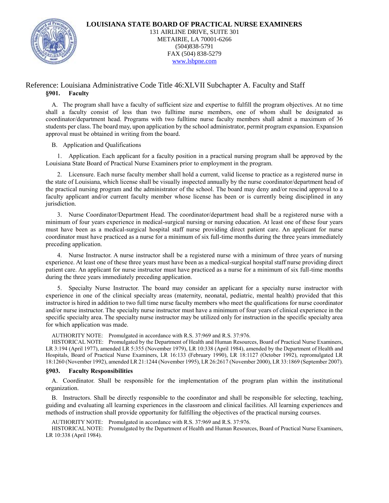

### Reference: Louisiana Administrative Code Title 46:XLVII Subchapter A. Faculty and Staff **§901. Faculty**

A. The program shall have a faculty of sufficient size and expertise to fulfill the program objectives. At no time shall a faculty consist of less than two fulltime nurse members, one of whom shall be designated as coordinator/department head. Programs with two fulltime nurse faculty members shall admit a maximum of 36 students per class. The board may, upon application by the school administrator, permit program expansion. Expansion approval must be obtained in writing from the board.

#### B. Application and Qualifications

1. Application. Each applicant for a faculty position in a practical nursing program shall be approved by the Louisiana State Board of Practical Nurse Examiners prior to employment in the program.

2. Licensure. Each nurse faculty member shall hold a current, valid license to practice as a registered nurse in the state of Louisiana, which license shall be visually inspected annually by the nurse coordinator/department head of the practical nursing program and the administrator of the school. The board may deny and/or rescind approval to a faculty applicant and/or current faculty member whose license has been or is currently being disciplined in any jurisdiction.

3. Nurse Coordinator/Department Head. The coordinator/department head shall be a registered nurse with a minimum of four years experience in medical-surgical nursing or nursing education. At least one of these four years must have been as a medical-surgical hospital staff nurse providing direct patient care. An applicant for nurse coordinator must have practiced as a nurse for a minimum of six full-time months during the three years immediately preceding application.

4. Nurse Instructor. A nurse instructor shall be a registered nurse with a minimum of three years of nursing experience. At least one of these three years must have been as a medical-surgical hospital staff nurse providing direct patient care. An applicant for nurse instructor must have practiced as a nurse for a minimum of six full-time months during the three years immediately preceding application.

5. Specialty Nurse Instructor. The board may consider an applicant for a specialty nurse instructor with experience in one of the clinical specialty areas (maternity, neonatal, pediatric, mental health) provided that this instructor is hired in addition to two full time nurse faculty members who meet the qualifications for nurse coordinator and/or nurse instructor. The specialty nurse instructor must have a minimum of four years of clinical experience in the specific specialty area. The specialty nurse instructor may be utilized only for instruction in the specific specialty area for which application was made.

AUTHORITY NOTE: Promulgated in accordance with R.S. 37:969 and R.S. 37:976.

HISTORICAL NOTE: Promulgated by the Department of Health and Human Resources, Board of Practical Nurse Examiners, LR 3:194 (April 1977), amended LR 5:355 (November 1979), LR 10:338 (April 1984), amended by the Department of Health and Hospitals, Board of Practical Nurse Examiners, LR 16:133 (February 1990), LR 18:1127 (October 1992), repromulgated LR 18:1260 (November 1992), amended LR 21:1244 (November 1995), LR 26:2617 (November 2000), LR 33:1869 (September 2007).

#### **§903. Faculty Responsibilities**

A. Coordinator. Shall be responsible for the implementation of the program plan within the institutional organization.

B. Instructors. Shall be directly responsible to the coordinator and shall be responsible for selecting, teaching, guiding and evaluating all learning experiences in the classroom and clinical facilities. All learning experiences and methods of instruction shall provide opportunity for fulfilling the objectives of the practical nursing courses.

AUTHORITY NOTE: Promulgated in accordance with R.S. 37:969 and R.S. 37:976.

HISTORICAL NOTE: Promulgated by the Department of Health and Human Resources, Board of Practical Nurse Examiners, LR 10:338 (April 1984).